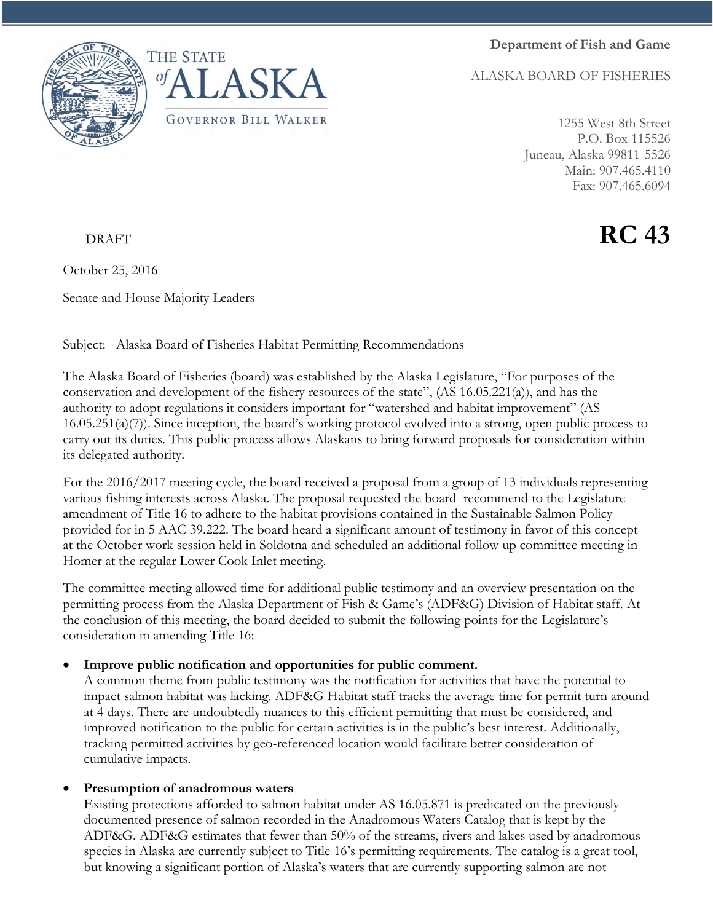**Department of Fish and Game**

ALASKA BOARD OF FISHERIES





1255 West 8th Street P.O. Box 115526 Juneau, Alaska 99811-5526 Main: 907.465.4110 Fax: 907.465.6094

## DRAFT **RC 43**

October 25, 2016

Senate and House Majority Leaders

Subject: Alaska Board of Fisheries Habitat Permitting Recommendations

The Alaska Board of Fisheries (board) was established by the Alaska Legislature, "For purposes of the conservation and development of the fishery resources of the state", (AS 16.05.221(a)), and has the authority to adopt regulations it considers important for "watershed and habitat improvement" (AS  $16.05.251(a)(7)$ ). Since inception, the board's working protocol evolved into a strong, open public process to carry out its duties. This public process allows Alaskans to bring forward proposals for consideration within its delegated authority.

For the 2016/2017 meeting cycle, the board received a proposal from a group of 13 individuals representing various fishing interests across Alaska. The proposal requested the board recommend to the Legislature amendment of Title 16 to adhere to the habitat provisions contained in the Sustainable Salmon Policy provided for in 5 AAC 39.222. The board heard a significant amount of testimony in favor of this concept at the October work session held in Soldotna and scheduled an additional follow up committee meeting in Homer at the regular Lower Cook Inlet meeting.

The committee meeting allowed time for additional public testimony and an overview presentation on the permitting process from the Alaska Department of Fish & Game's (ADF&G) Division of Habitat staff. At the conclusion of this meeting, the board decided to submit the following points for the Legislature's consideration in amending Title 16:

## • **Improve public notification and opportunities for public comment.**

A common theme from public testimony was the notification for activities that have the potential to impact salmon habitat was lacking. ADF&G Habitat staff tracks the average time for permit turn around at 4 days. There are undoubtedly nuances to this efficient permitting that must be considered, and improved notification to the public for certain activities is in the public's best interest. Additionally, tracking permitted activities by geo-referenced location would facilitate better consideration of cumulative impacts.

## • **Presumption of anadromous waters**

Existing protections afforded to salmon habitat under AS 16.05.871 is predicated on the previously documented presence of salmon recorded in the Anadromous Waters Catalog that is kept by the ADF&G. ADF&G estimates that fewer than 50% of the streams, rivers and lakes used by anadromous species in Alaska are currently subject to Title 16's permitting requirements. The catalog is a great tool, but knowing a significant portion of Alaska's waters that are currently supporting salmon are not